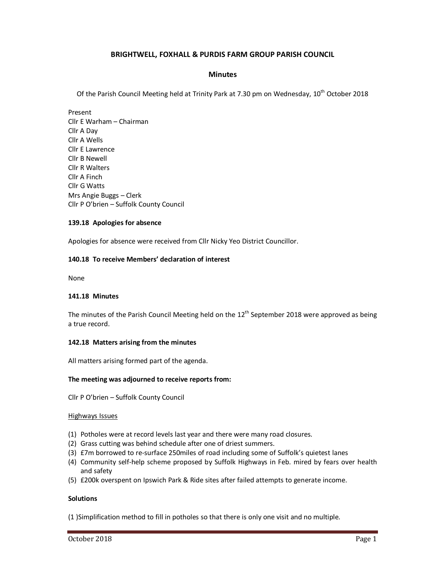# **BRIGHTWELL, FOXHALL & PURDIS FARM GROUP PARISH COUNCIL**

## **Minutes**

Of the Parish Council Meeting held at Trinity Park at 7.30 pm on Wednesday, 10<sup>th</sup> October 2018

Present Cllr E Warham – Chairman Cllr A Day Cllr A Wells Cllr E Lawrence Cllr B Newell Cllr R Walters Cllr A Finch Cllr G Watts Mrs Angie Buggs – Clerk Cllr P O'brien – Suffolk County Council

## **139.18 Apologies for absence**

Apologies for absence were received from Cllr Nicky Yeo District Councillor.

#### **140.18 To receive Members' declaration of interest**

None

#### **141.18 Minutes**

The minutes of the Parish Council Meeting held on the  $12<sup>th</sup>$  September 2018 were approved as being a true record.

#### **142.18 Matters arising from the minutes**

All matters arising formed part of the agenda.

# **The meeting was adjourned to receive reports from:**

Cllr P O'brien – Suffolk County Council

#### Highways Issues

- (1) Potholes were at record levels last year and there were many road closures.
- (2) Grass cutting was behind schedule after one of driest summers.
- (3) £7m borrowed to re-surface 250miles of road including some of Suffolk's quietest lanes
- (4) Community self-help scheme proposed by Suffolk Highways in Feb. mired by fears over health and safety
- (5) £200k overspent on Ipswich Park & Ride sites after failed attempts to generate income.

#### **Solutions**

(1 )Simplification method to fill in potholes so that there is only one visit and no multiple.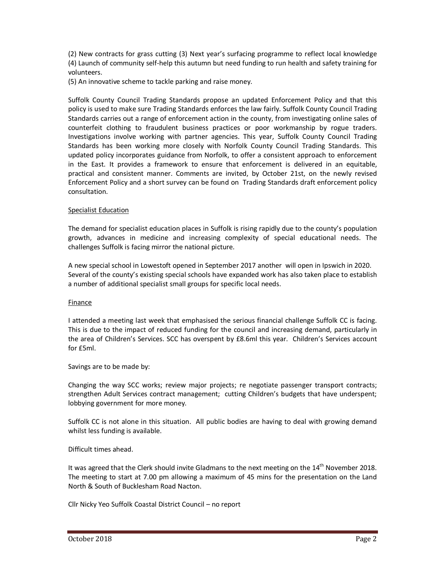(2) New contracts for grass cutting (3) Next year's surfacing programme to reflect local knowledge (4) Launch of community self-help this autumn but need funding to run health and safety training for volunteers.

(5) An innovative scheme to tackle parking and raise money.

Suffolk County Council Trading Standards propose an updated Enforcement Policy and that this policy is used to make sure Trading Standards enforces the law fairly. Suffolk County Council Trading Standards carries out a range of enforcement action in the county, from investigating online sales of counterfeit clothing to fraudulent business practices or poor workmanship by rogue traders. Investigations involve working with partner agencies. This year, Suffolk County Council Trading Standards has been working more closely with Norfolk County Council Trading Standards. This updated policy incorporates guidance from Norfolk, to offer a consistent approach to enforcement in the East. It provides a framework to ensure that enforcement is delivered in an equitable, practical and consistent manner. Comments are invited, by October 21st, on the newly revised Enforcement Policy and a short survey can be found on Trading Standards draft enforcement policy consultation.

#### Specialist Education

The demand for specialist education places in Suffolk is rising rapidly due to the county's population growth, advances in medicine and increasing complexity of special educational needs. The challenges Suffolk is facing mirror the national picture.

A new special school in Lowestoft opened in September 2017 another will open in Ipswich in 2020. Several of the county's existing special schools have expanded work has also taken place to establish a number of additional specialist small groups for specific local needs.

#### Finance

I attended a meeting last week that emphasised the serious financial challenge Suffolk CC is facing. This is due to the impact of reduced funding for the council and increasing demand, particularly in the area of Children's Services. SCC has overspent by £8.6ml this year. Children's Services account for £5ml.

Savings are to be made by:

Changing the way SCC works; review major projects; re negotiate passenger transport contracts; strengthen Adult Services contract management; cutting Children's budgets that have underspent; lobbying government for more money.

Suffolk CC is not alone in this situation. All public bodies are having to deal with growing demand whilst less funding is available.

# Difficult times ahead.

It was agreed that the Clerk should invite Gladmans to the next meeting on the 14<sup>th</sup> November 2018. The meeting to start at 7.00 pm allowing a maximum of 45 mins for the presentation on the Land North & South of Bucklesham Road Nacton.

Cllr Nicky Yeo Suffolk Coastal District Council – no report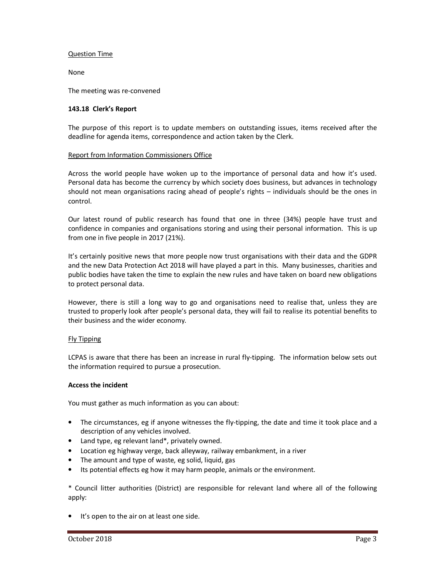## Question Time

None

The meeting was re-convened

## **143.18 Clerk's Report**

The purpose of this report is to update members on outstanding issues, items received after the deadline for agenda items, correspondence and action taken by the Clerk.

## Report from Information Commissioners Office

Across the world people have woken up to the importance of personal data and how it's used. Personal data has become the currency by which society does business, but advances in technology should not mean organisations racing ahead of people's rights – individuals should be the ones in control.

Our latest round of public research has found that one in three (34%) people have trust and confidence in companies and organisations storing and using their personal information. This is up from one in five people in 2017 (21%).

It's certainly positive news that more people now trust organisations with their data and the GDPR and the new Data Protection Act 2018 will have played a part in this. Many businesses, charities and public bodies have taken the time to explain the new rules and have taken on board new obligations to protect personal data.

However, there is still a long way to go and organisations need to realise that, unless they are trusted to properly look after people's personal data, they will fail to realise its potential benefits to their business and the wider economy.

#### Fly Tipping

LCPAS is aware that there has been an increase in rural fly-tipping. The information below sets out the information required to pursue a prosecution.

#### **Access the incident**

You must gather as much information as you can about:

- The circumstances, eg if anyone witnesses the fly-tipping, the date and time it took place and a description of any vehicles involved.
- Land type, eg relevant land\*, privately owned.
- Location eg highway verge, back alleyway, railway embankment, in a river
- The amount and type of waste, eg solid, liquid, gas
- Its potential effects eg how it may harm people, animals or the environment.

\* Council litter authorities (District) are responsible for relevant land where all of the following apply:

• It's open to the air on at least one side.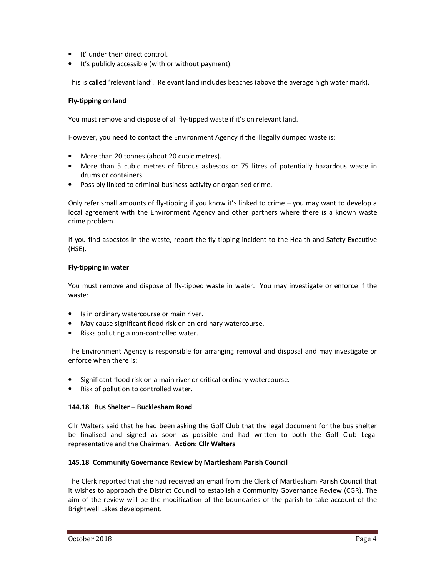- It' under their direct control.
- It's publicly accessible (with or without payment).

This is called 'relevant land'. Relevant land includes beaches (above the average high water mark).

## **Fly-tipping on land**

You must remove and dispose of all fly-tipped waste if it's on relevant land.

However, you need to contact the Environment Agency if the illegally dumped waste is:

- More than 20 tonnes (about 20 cubic metres).
- More than 5 cubic metres of fibrous asbestos or 75 litres of potentially hazardous waste in drums or containers.
- Possibly linked to criminal business activity or organised crime.

Only refer small amounts of fly-tipping if you know it's linked to crime – you may want to develop a local agreement with the Environment Agency and other partners where there is a known waste crime problem.

If you find asbestos in the waste, report the fly-tipping incident to the Health and Safety Executive (HSE).

#### **Fly-tipping in water**

You must remove and dispose of fly-tipped waste in water. You may investigate or enforce if the waste:

- Is in ordinary watercourse or main river.
- May cause significant flood risk on an ordinary watercourse.
- Risks polluting a non-controlled water.

The Environment Agency is responsible for arranging removal and disposal and may investigate or enforce when there is:

- Significant flood risk on a main river or critical ordinary watercourse.
- Risk of pollution to controlled water.

#### **144.18 Bus Shelter – Bucklesham Road**

Cllr Walters said that he had been asking the Golf Club that the legal document for the bus shelter be finalised and signed as soon as possible and had written to both the Golf Club Legal representative and the Chairman. **Action: Cllr Walters** 

#### **145.18 Community Governance Review by Martlesham Parish Council**

The Clerk reported that she had received an email from the Clerk of Martlesham Parish Council that it wishes to approach the District Council to establish a Community Governance Review (CGR). The aim of the review will be the modification of the boundaries of the parish to take account of the Brightwell Lakes development.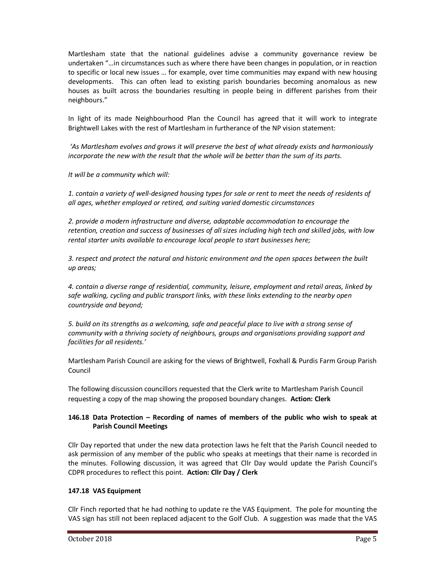Martlesham state that the national guidelines advise a community governance review be undertaken "…in circumstances such as where there have been changes in population, or in reaction to specific or local new issues … for example, over time communities may expand with new housing developments. This can often lead to existing parish boundaries becoming anomalous as new houses as built across the boundaries resulting in people being in different parishes from their neighbours."

In light of its made Neighbourhood Plan the Council has agreed that it will work to integrate Brightwell Lakes with the rest of Martlesham in furtherance of the NP vision statement:

 *'As Martlesham evolves and grows it will preserve the best of what already exists and harmoniously incorporate the new with the result that the whole will be better than the sum of its parts.* 

*It will be a community which will:* 

*1. contain a variety of well-designed housing types for sale or rent to meet the needs of residents of all ages, whether employed or retired, and suiting varied domestic circumstances* 

*2. provide a modern infrastructure and diverse, adaptable accommodation to encourage the retention, creation and success of businesses of all sizes including high tech and skilled jobs, with low rental starter units available to encourage local people to start businesses here;* 

*3. respect and protect the natural and historic environment and the open spaces between the built up areas;* 

*4. contain a diverse range of residential, community, leisure, employment and retail areas, linked by safe walking, cycling and public transport links, with these links extending to the nearby open countryside and beyond;* 

*5. build on its strengths as a welcoming, safe and peaceful place to live with a strong sense of community with a thriving society of neighbours, groups and organisations providing support and facilities for all residents.'*

Martlesham Parish Council are asking for the views of Brightwell, Foxhall & Purdis Farm Group Parish Council

The following discussion councillors requested that the Clerk write to Martlesham Parish Council requesting a copy of the map showing the proposed boundary changes. **Action: Clerk**

# **146.18 Data Protection – Recording of names of members of the public who wish to speak at Parish Council Meetings**

Cllr Day reported that under the new data protection laws he felt that the Parish Council needed to ask permission of any member of the public who speaks at meetings that their name is recorded in the minutes. Following discussion, it was agreed that Cllr Day would update the Parish Council's CDPR procedures to reflect this point. **Action: Cllr Day / Clerk** 

# **147.18 VAS Equipment**

Cllr Finch reported that he had nothing to update re the VAS Equipment. The pole for mounting the VAS sign has still not been replaced adjacent to the Golf Club. A suggestion was made that the VAS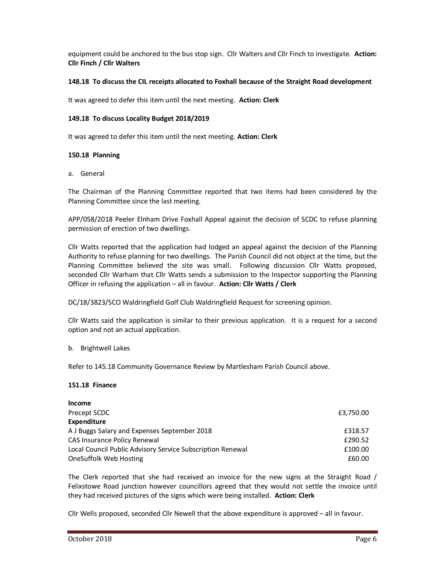equipment could be anchored to the bus stop sign. Cllr Walters and Cllr Finch to investigate. **Action: Cllr Finch / Cllr Walters** 

## **148.18 To discuss the CIL receipts allocated to Foxhall because of the Straight Road development**

It was agreed to defer this item until the next meeting. **Action: Clerk** 

#### **149.18 To discuss Locality Budget 2018/2019**

It was agreed to defer this item until the next meeting. **Action: Clerk** 

## **150.18 Planning**

a. General

The Chairman of the Planning Committee reported that two items had been considered by the Planning Committee since the last meeting.

APP/058/2018 Peeler Elnham Drive Foxhall Appeal against the decision of SCDC to refuse planning permission of erection of two dwellings.

Cllr Watts reported that the application had lodged an appeal against the decision of the Planning Authority to refuse planning for two dwellings. The Parish Council did not object at the time, but the Planning Committee believed the site was small. Following discussion Cllr Watts proposed, seconded Cllr Warham that Cllr Watts sends a submission to the Inspector supporting the Planning Officer in refusing the application – all in favour. **Action: Cllr Watts / Clerk** 

DC/18/3823/SCO Waldringfield Golf Club Waldringfield Request for screening opinion.

Cllr Watts said the application is similar to their previous application. It is a request for a second option and not an actual application.

#### b. Brightwell Lakes

Refer to 145.18 Community Governance Review by Martlesham Parish Council above.

#### **151.18 Finance**

| <b>Income</b>                                              |           |
|------------------------------------------------------------|-----------|
| Precept SCDC                                               | £3,750.00 |
| Expenditure                                                |           |
| A J Buggs Salary and Expenses September 2018               | £318.57   |
| CAS Insurance Policy Renewal                               | £290.52   |
| Local Council Public Advisory Service Subscription Renewal | £100.00   |
| OneSuffolk Web Hosting                                     | £60.00    |

The Clerk reported that she had received an invoice for the new signs at the Straight Road / Felixstowe Road junction however councillors agreed that they would not settle the invoice until they had received pictures of the signs which were being installed. **Action: Clerk** 

Cllr Wells proposed, seconded Cllr Newell that the above expenditure is approved – all in favour.